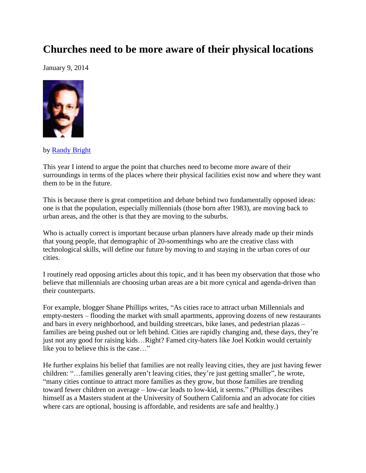## **Churches need to be more aware of their physical locations**

January 9, 2014



by [Randy Bright](http://tulsabeacon.com/writers/randy-bright/)

This year I intend to argue the point that churches need to become more aware of their surroundings in terms of the places where their physical facilities exist now and where they want them to be in the future.

This is because there is great competition and debate behind two fundamentally opposed ideas: one is that the population, especially millennials (those born after 1983), are moving back to urban areas, and the other is that they are moving to the suburbs.

Who is actually correct is important because urban planners have already made up their minds that young people, that demographic of 20-somenthings who are the creative class with technological skills, will define our future by moving to and staying in the urban cores of our cities.

I routinely read opposing articles about this topic, and it has been my observation that those who believe that millennials are choosing urban areas are a bit more cynical and agenda-driven than their counterparts.

For example, blogger Shane Phillips writes, "As cities race to attract urban Millennials and empty-nesters – flooding the market with small apartments, approving dozens of new restaurants and bars in every neighborhood, and building streetcars, bike lanes, and pedestrian plazas – families are being pushed out or left behind. Cities are rapidly changing and, these days, they're just not any good for raising kids…Right? Famed city-haters like Joel Kotkin would certainly like you to believe this is the case…"

He further explains his belief that families are not really leaving cities, they are just having fewer children: "…families generally aren't leaving cities, they're just getting smaller", he wrote, "many cities continue to attract more families as they grow, but those families are trending toward fewer children on average – low-car leads to low-kid, it seems." (Phillips describes himself as a Masters student at the University of Southern California and an advocate for cities where cars are optional, housing is affordable, and residents are safe and healthy.)